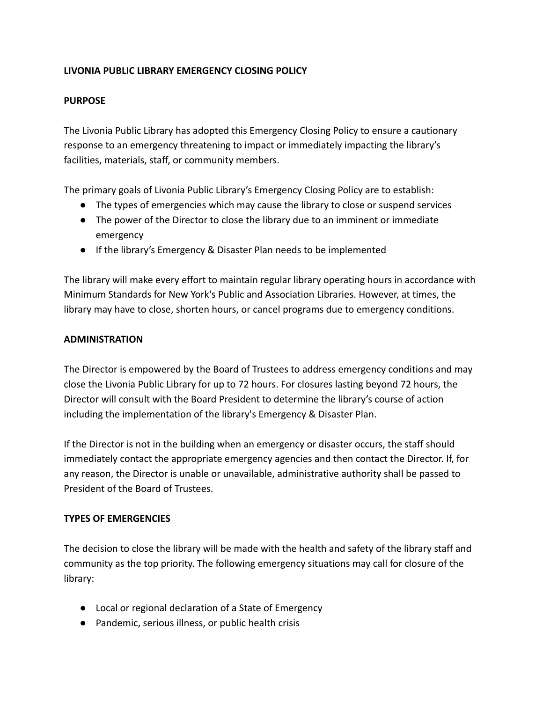# **LIVONIA PUBLIC LIBRARY EMERGENCY CLOSING POLICY**

# **PURPOSE**

The Livonia Public Library has adopted this Emergency Closing Policy to ensure a cautionary response to an emergency threatening to impact or immediately impacting the library's facilities, materials, staff, or community members.

The primary goals of Livonia Public Library's Emergency Closing Policy are to establish:

- The types of emergencies which may cause the library to close or suspend services
- The power of the Director to close the library due to an imminent or immediate emergency
- If the library's Emergency & Disaster Plan needs to be implemented

The library will make every effort to maintain regular library operating hours in accordance with Minimum Standards for New York's Public and Association Libraries. However, at times, the library may have to close, shorten hours, or cancel programs due to emergency conditions.

## **ADMINISTRATION**

The Director is empowered by the Board of Trustees to address emergency conditions and may close the Livonia Public Library for up to 72 hours. For closures lasting beyond 72 hours, the Director will consult with the Board President to determine the library's course of action including the implementation of the library's Emergency & Disaster Plan.

If the Director is not in the building when an emergency or disaster occurs, the staff should immediately contact the appropriate emergency agencies and then contact the Director. If, for any reason, the Director is unable or unavailable, administrative authority shall be passed to President of the Board of Trustees.

# **TYPES OF EMERGENCIES**

The decision to close the library will be made with the health and safety of the library staff and community as the top priority. The following emergency situations may call for closure of the library:

- Local or regional declaration of a State of Emergency
- Pandemic, serious illness, or public health crisis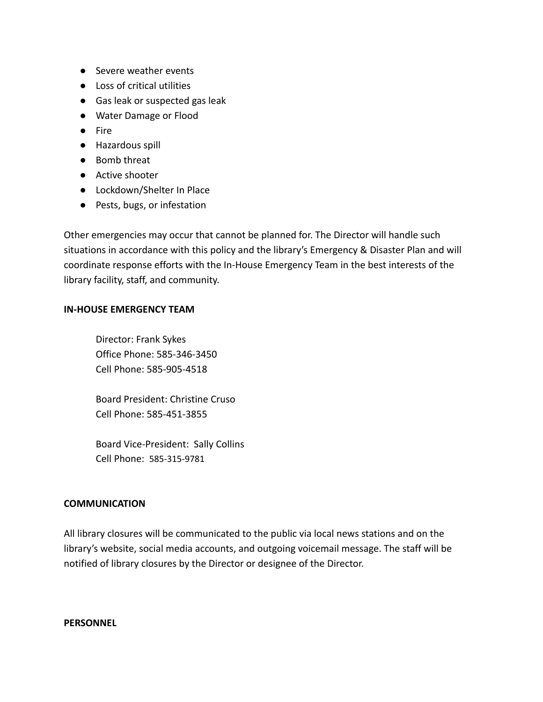- Severe weather events
- Loss of critical utilities
- Gas leak or suspected gas leak
- Water Damage or Flood
- Fire
- Hazardous spill
- Bomb threat
- Active shooter
- Lockdown/Shelter In Place
- Pests, bugs, or infestation

Other emergencies may occur that cannot be planned for. The Director will handle such situations in accordance with this policy and the library's Emergency & Disaster Plan and will coordinate response efforts with the In-House Emergency Team in the best interests of the library facility, staff, and community.

### **IN-HOUSE EMERGENCY TEAM**

Director: Frank Sykes Office Phone: 585-346-3450 Cell Phone: 585-905-4518

Board President: Christine Cruso Cell Phone: 585-451-3855

Board Vice-President: Sally Collins Cell Phone: 585-315-9781

### **COMMUNICATION**

All library closures will be communicated to the public via local news stations and on the library's website, social media accounts, and outgoing voicemail message. The staff will be notified of library closures by the Director or designee of the Director.

#### **PERSONNEL**